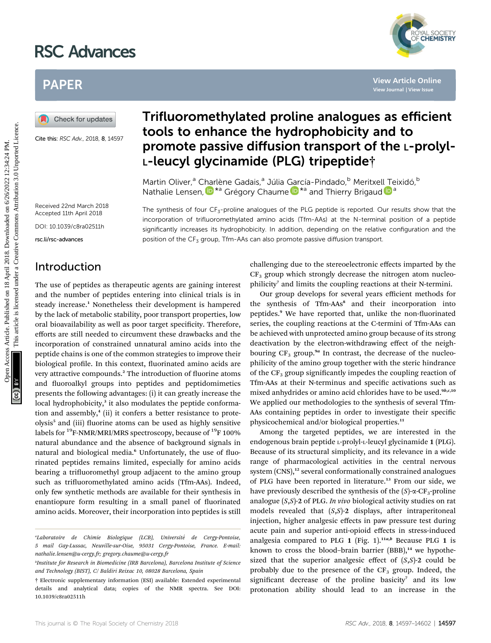# RSC Advances



# PAPER

Cite this: RSC Adv., 2018, 8, 14597

## Trifluoromethylated proline analogues as efficient tools to enhance the hydrophobicity and to promote passive diffusion transport of the L-prolyl-L-leucyl glycinamide (PLG) tripeptide†

The synthesis of four CF<sub>3</sub>-proline analogues of the PLG peptide is reported. Our results show that the incorporation of trifluoromethylated amino acids (Tfm-AAs) at the N-terminal position of a peptide significantly increases its hydrophobicity. In addition, depending on the relative configuration and the

Martin Oliver,<sup>a</sup> Charlène Gadais,<sup>a</sup> Júlia García-Pindado,<sup>b</sup> Meritxell Teixidó,<sup>b</sup> Nathalie Lensen,  $\mathbf{D}^{*a}$  Grégory Chaume  $\mathbf{D}^{*a}$  and Thierry Brigaud  $\mathbf{D}^{a}$ 

position of the CF<sub>3</sub> group, Tfm-AAs can also promote passive diffusion transport.

Received 22nd March 2018 Accepted 11th April 2018

DOI: 10.1039/c8ra02511h

rsc.li/rsc-advances

### Introduction

The use of peptides as therapeutic agents are gaining interest and the number of peptides entering into clinical trials is in steady increase.<sup>1</sup> Nonetheless their development is hampered by the lack of metabolic stability, poor transport properties, low oral bioavailability as well as poor target specificity. Therefore, efforts are still needed to circumvent these drawbacks and the incorporation of constrained unnatural amino acids into the peptide chains is one of the common strategies to improve their biological profile. In this context, fluorinated amino acids are very attractive compounds.<sup>2</sup> The introduction of fluorine atoms and fluoroalkyl groups into peptides and peptidomimetics presents the following advantages: (i) it can greatly increase the local hydrophobicity,<sup>3</sup> it also modulates the peptide conformation and assembly, $4$  (ii) it confers a better resistance to proteolysis<sup>5</sup> and (iii) fluorine atoms can be used as highly sensitive labels for <sup>19</sup>F-NMR/MRI/MRS spectroscopy, because of <sup>19</sup>F 100% natural abundance and the absence of background signals in natural and biological media.<sup>6</sup> Unfortunately, the use of fluorinated peptides remains limited, especially for amino acids bearing a trifluoromethyl group adjacent to the amino group such as trifluoromethylated amino acids (Tfm-AAs). Indeed, only few synthetic methods are available for their synthesis in enantiopure form resulting in a small panel of fluorinated amino acids. Moreover, their incorporation into peptides is still PAPER<br>
(a) Check for updates<br>  $\frac{3}{2}$ <br>  $\frac{3}{2}$ <br>  $\frac{3}{2}$ <br>  $\frac{3}{2}$ <br>  $\frac{3}{2}$ <br>  $\frac{3}{2}$ <br>  $\frac{3}{2}$ <br>  $\frac{3}{2}$ <br>  $\frac{3}{2}$ <br>  $\frac{3}{2}$ <br>  $\frac{3}{2}$ <br>  $\frac{3}{2}$ <br>  $\frac{3}{2}$ <br>  $\frac{3}{2}$ <br>  $\frac{3}{2}$ <br>  $\frac{3}{2}$ <br>  $\frac{3}{2}$ <br>  $\frac{$ 

challenging due to the stereoelectronic effects imparted by the  $CF<sub>3</sub>$  group which strongly decrease the nitrogen atom nucleophilicity<sup>7</sup> and limits the coupling reactions at their N-termini.

Our group develops for several years efficient methods for the synthesis of Tfm-AAs<sup>8</sup> and their incorporation into peptides.<sup>9</sup> We have reported that, unlike the non-fluorinated series, the coupling reactions at the C-termini of Tfm-AAs can be achieved with unprotected amino group because of its strong deactivation by the electron-withdrawing effect of the neighbouring  $CF_3$  group.<sup>9a</sup> In contrast, the decrease of the nucleophilicity of the amino group together with the steric hindrance of the  $CF_3$  group significantly impedes the coupling reaction of Tfm-AAs at their N-terminus and specific activations such as mixed anhydrides or amino acid chlorides have to be used.<sup>9b,c,10</sup> We applied our methodologies to the synthesis of several Tfm-AAs containing peptides in order to investigate their specific physicochemical and/or biological properties.<sup>11</sup>

Among the targeted peptides, we are interested in the endogenous brain peptide L-prolyl-L-leucyl glycinamide 1 (PLG). Because of its structural simplicity, and its relevance in a wide range of pharmacological activities in the central nervous system (CNS),<sup>12</sup> several conformationally constrained analogues of PLG have been reported in literature.<sup>13</sup> From our side, we have previously described the synthesis of the  $(S)$ - $\alpha$ -CF<sub>3</sub>-proline analogue  $(S, S)$ -2 of PLG. In vivo biological activity studies on rat models revealed that  $(S, S)$ -2 displays, after intraperitoneal injection, higher analgesic effects in paw pressure test during acute pain and superior anti-opioid effects in stress-induced analgesia compared to PLG 1 (Fig. 1).<sup>11a,b</sup> Because PLG 1 is known to cross the blood-brain barrier  $(BBB)$ ,<sup>14</sup> we hypothesized that the superior analgesic effect of  $(S, S)$ -2 could be probably due to the presence of the  $CF_3$  group. Indeed, the significant decrease of the proline basicity<sup>7</sup> and its low protonation ability should lead to an increase in the

<sup>&</sup>quot;Laboratoire de Chimie Biologique (LCB), Université de Cergy-Pontoise, 5 mail Gay-Lussac, Neuville-sur-Oise, 95031 Cergy-Pontoise, France. E-mail: nathalie.lensen@u-cergy.fr; gregory.chaume@u-cergy.fr

b Institute for Research in Biomedicine (IRB Barcelona), Barcelona Institute of Science and Technology (BIST), C/ Baldiri Reixac 10, 08028 Barcelona, Spain

<sup>†</sup> Electronic supplementary information (ESI) available: Extended experimental details and analytical data; copies of the NMR spectra. See DOI: 10.1039/c8ra02511h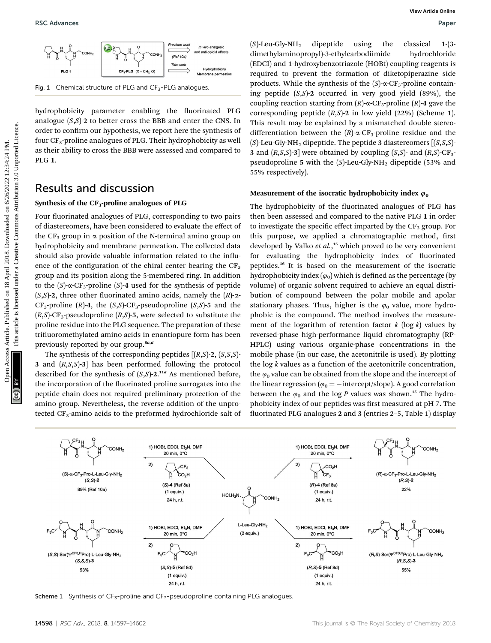Fig. 1 Chemical structure of PLG and  $CF_3$ -PLG analogues.

hydrophobicity parameter enabling the fluorinated PLG analogue  $(S, S)$ -2 to better cross the BBB and enter the CNS. In order to confirm our hypothesis, we report here the synthesis of four  $CF_3$ -proline analogues of PLG. Their hydrophobicity as well as their ability to cross the BBB were assessed and compared to PLG 1.

#### Results and discussion

#### Synthesis of the  $CF_3$ -proline analogues of PLG

Four fluorinated analogues of PLG, corresponding to two pairs of diastereomers, have been considered to evaluate the effect of the  $CF_3$  group in  $\alpha$  position of the N-terminal amino group on hydrophobicity and membrane permeation. The collected data should also provide valuable information related to the influence of the configuration of the chiral center bearing the  $CF<sub>3</sub>$ group and its position along the 5-membered ring. In addition to the  $(S)$ - $\alpha$ -CF<sub>3</sub>-proline  $(S)$ -4 used for the synthesis of peptide  $(S,S)$ -2, three other fluorinated amino acids, namely the  $(R)$ - $\alpha$ - $CF_3$ -proline (R)-4, the (S,S)-CF<sub>3</sub>-pseudoproline (S,S)-5 and the  $(R,S)$ -CF<sub>3</sub>-pseudoproline  $(R,S)$ -5, were selected to substitute the proline residue into the PLG sequence. The preparation of these trifluoromethylated amino acids in enantiopure form has been previously reported by our group.<sup>8a,d</sup>

The synthesis of the corresponding peptides  $[(R, S)$ -2,  $(S, S, S)$ -3 and  $(R, S, S)$ -3] has been performed following the protocol described for the synthesis of  $(S, S)$ -2.<sup>11a</sup> As mentioned before, the incorporation of the fluorinated proline surrogates into the peptide chain does not required preliminary protection of the amino group. Nevertheless, the reverse addition of the unprotected CF<sub>3</sub>-amino acids to the preformed hydrochloride salt of

 $(S)$ -Leu-Gly-NH<sub>2</sub> dipeptide using the classical 1-(3dimethylaminopropyl)-3-ethylcarbodiimide hydrochloride (EDCI) and 1-hydroxybenzotriazole (HOBt) coupling reagents is required to prevent the formation of diketopiperazine side products. While the synthesis of the  $(S)$ - $\alpha$ -CF<sub>3</sub>-proline containing peptide  $(S,S)$ -2 occurred in very good yield  $(89\%)$ , the coupling reaction starting from  $(R)$ - $\alpha$ -CF<sub>3</sub>-proline  $(R)$ -4 gave the corresponding peptide  $(R,S)$ -2 in low yield  $(22%)$  (Scheme 1). This result may be explained by a mismatched double stereodifferentiation between the  $(R)$ - $\alpha$ -CF<sub>3</sub>-proline residue and the  $(S)$ -Leu-Gly-NH<sub>2</sub> dipeptide. The peptide 3 diastereomers  $[(S,S,S)]$ -3 and  $(R, S, S)$ -3] were obtained by coupling  $(S, S)$ - and  $(R, S)$ -CF<sub>3</sub>pseudoproline 5 with the  $(S)$ -Leu-Gly-NH<sub>2</sub> dipeptide (53% and 55% respectively).

#### Measurement of the isocratic hydrophobicity index  $\varphi_0$

The hydrophobicity of the fluorinated analogues of PLG has then been assessed and compared to the native PLG 1 in order to investigate the specific effect imparted by the  $CF_3$  group. For this purpose, we applied a chromatographic method, first developed by Valko et al.,<sup>15</sup> which proved to be very convenient for evaluating the hydrophobicity index of fluorinated peptides.<sup>16</sup> It is based on the measurement of the isocratic hydrophobicity index  $(\varphi_0)$  which is defined as the percentage (by volume) of organic solvent required to achieve an equal distribution of compound between the polar mobile and apolar stationary phases. Thus, higher is the  $\varphi_0$  value, more hydrophobic is the compound. The method involves the measurement of the logarithm of retention factor  $k \left( \log k \right)$  values by reversed-phase high-performance liquid chromatography (RP-HPLC) using various organic-phase concentrations in the mobile phase (in our case, the acetonitrile is used). By plotting the  $\log k$  values as a function of the acetonitrile concentration, the  $\varphi_0$  value can be obtained from the slope and the intercept of the linear regression ( $\varphi_0 = -$  intercept/slope). A good correlation between the  $\varphi_0$  and the log P values was shown.<sup>15</sup> The hydrophobicity index of our peptides was first measured at pH 7. The fluorinated PLG analogues 2 and 3 (entries 2-5, Table 1) display **PSC**<br> **Operation Common Securities** Article. Published on 14<br> **CALCONS** Article 2018. The properties are the sense are the sense are the sense are the sense are the sense are the sense are the sense are the sense are the



Scheme 1 Synthesis of  $CF_{5}$ -proline and  $CF_{5}$ -pseudoproline containing PLG analogues.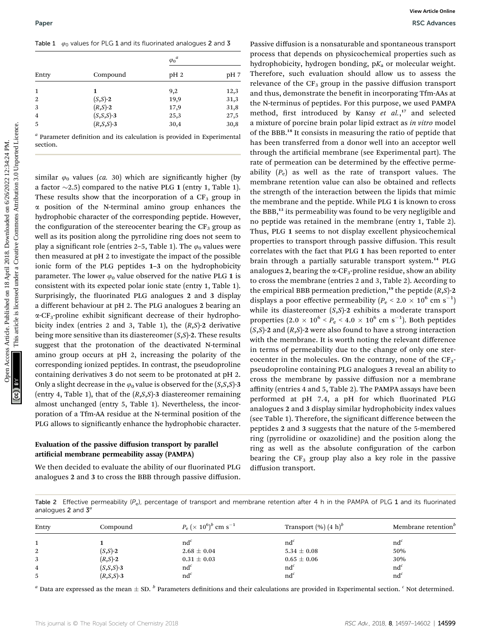Table 1  $\varphi_0$  values for PLG 1 and its fluorinated analogues 2 and 3

|       |                 | $\varphi_0^a$   |      |
|-------|-----------------|-----------------|------|
| Entry | Compound        | pH <sub>2</sub> | pH 7 |
| 1     | 1               | 9,2             | 12,3 |
| 2     | $(S,S)$ -2      | 19,9            | 31,3 |
| 3     | $(R, S) - 2$    | 17,9            | 31,8 |
| 4     | $(S, S, S)$ -3  | 25,3            | 27,5 |
| 5     | $(R, S, S) - 3$ | 30,4            | 30,8 |

 $a$  Parameter definition and its calculation is provided in Experimental section.

similar  $\varphi_0$  values (ca. 30) which are significantly higher (by a factor  $\sim$ 2.5) compared to the native PLG 1 (entry 1, Table 1). These results show that the incorporation of a  $CF_3$  group in  $\alpha$  position of the N-terminal amino group enhances the hydrophobic character of the corresponding peptide. However, the configuration of the stereocenter bearing the  $CF_3$  group as well as its position along the pyrrolidine ring does not seem to play a significant role (entries 2–5, Table 1). The  $\varphi_0$  values were then measured at pH 2 to investigate the impact of the possible ionic form of the PLG peptides 1–3 on the hydrophobicity parameter. The lower  $\varphi_0$  value observed for the native PLG 1 is consistent with its expected polar ionic state (entry 1, Table 1). Surprisingly, the fluorinated PLG analogues 2 and 3 display a different behaviour at pH 2. The PLG analogues 2 bearing an  $\alpha$ -CF<sub>3</sub>-proline exhibit significant decrease of their hydrophobicity index (entries 2 and 3, Table 1), the  $(R, S)$ -2 derivative being more sensitive than its diastereomer  $(S, S)$ -2. These results suggest that the protonation of the deactivated N-terminal amino group occurs at pH 2, increasing the polarity of the corresponding ionized peptides. In contrast, the pseudoproline containing derivatives 3 do not seem to be protonated at pH 2. Only a slight decrease in the  $\varphi_0$  value is observed for the  $(S, S, S)$ -3 (entry 4, Table 1), that of the  $(R, S, S)$ -3 diastereomer remaining almost unchanged (entry 5, Table 1). Nevertheless, the incorporation of a Tfm-AA residue at the N-terminal position of the PLG allows to significantly enhance the hydrophobic character.

#### Evaluation of the passive diffusion transport by parallel artificial membrane permeability assay (PAMPA)

We then decided to evaluate the ability of our fluorinated PLG analogues 2 and 3 to cross the BBB through passive diffusion.

Passive diffusion is a nonsaturable and spontaneous transport process that depends on physicochemical properties such as hydrophobicity, hydrogen bonding,  $pK_a$  or molecular weight. Therefore, such evaluation should allow us to assess the relevance of the  $CF_3$  group in the passive diffusion transport and thus, demonstrate the benefit in incorporating Tfm-AAs at the N-terminus of peptides. For this purpose, we used PAMPA method, first introduced by Kansy et al.,<sup>17</sup> and selected a mixture of porcine brain polar lipid extract as in vitro model of the BBB.<sup>18</sup> It consists in measuring the ratio of peptide that has been transferred from a donor well into an acceptor well through the artificial membrane (see Experimental part). The rate of permeation can be determined by the effective permeability  $(P_e)$  as well as the rate of transport values. The membrane retention value can also be obtained and reflects the strength of the interaction between the lipids that mimic the membrane and the peptide. While PLG 1 is known to cross the BBB,<sup>13</sup> its permeability was found to be very negligible and no peptide was retained in the membrane (entry 1, Table 2). Thus, PLG 1 seems to not display excellent physicochemical properties to transport through passive diffusion. This result correlates with the fact that PLG 1 has been reported to enter brain through a partially saturable transport system.<sup>14</sup> PLG analogues 2, bearing the  $\alpha$ -CF<sub>3</sub>-proline residue, show an ability to cross the membrane (entries 2 and 3, Table 2). According to the empirical BBB permeation prediction,<sup>19</sup> the peptide  $(R, S)$ -2 displays a poor effective permeability ( $P_e$  < 2.0  $\times$  10<sup>6</sup> cm s<sup>-1</sup>) while its diastereomer  $(S, S)$ -2 exhibits a moderate transport properties  $(2.0 \times 10^6 \le P_e \le 4.0 \times 10^6 \text{ cm s}^{-1})$ . Both peptides  $(S, S)$ -2 and  $(R, S)$ -2 were also found to have a strong interaction with the membrane. It is worth noting the relevant difference in terms of permeability due to the change of only one stereocenter in the molecules. On the contrary, none of the  $CF_3$ pseudoproline containing PLG analogues 3 reveal an ability to cross the membrane by passive diffusion nor a membrane affinity (entries 4 and 5, Table 2). The PAMPA assays have been performed at pH 7.4, a pH for which fluorinated PLG analogues 2 and 3 display similar hydrophobicity index values (see Table 1). Therefore, the signicant difference between the peptides 2 and 3 suggests that the nature of the 5-membered ring (pyrrolidine or oxazolidine) and the position along the ring as well as the absolute configuration of the carbon bearing the  $CF_3$  group play also a key role in the passive diffusion transport. Paper<br>
Tester 3. values for PLG1 and 18 Appendent and one-se 2 and 3<br>
Papers Articles Articles Articles Articles Articles Articles Articles Articles Articles Articles Articles Articles Articles Articles Articles Articles

Table 2 Effective permeability  $(P_e)$ , percentage of transport and membrane retention after 4 h in the PAMPA of PLG 1 and its fluorinated analogues  $2$  and  $3<sup>a</sup>$ 

| Entry | Compound       | $P_e$ (× 10 <sup>6</sup> ) <sup>b</sup> cm s <sup>-1</sup> | Transport $(\%)(4 h)^b$ | Membrane retention <sup>b</sup> |
|-------|----------------|------------------------------------------------------------|-------------------------|---------------------------------|
|       |                |                                                            |                         |                                 |
|       |                | $nd^c$                                                     | $nd^c$                  | nd <sup>c</sup>                 |
| 2     | $(S,S)$ -2     | $2.68 \pm 0.04$                                            | $5.34 \pm 0.08$         | 50%                             |
| 3.    | $(R, S) - 2$   | $0.31 \pm 0.03$                                            | $0.65\pm0.06$           | 30%                             |
| 4     | $(S, S, S)$ -3 | $nd^c$                                                     | $nd^c$                  | $nd^c$                          |
|       | $(R, S, S)$ -3 | nd <sup>c</sup>                                            | $nd^c$                  | $nd^c$                          |

<sup>a</sup> Data are expressed as the mean  $\pm$  SD.  $^b$  Parameters definitions and their calculations are provided in Experimental section. <sup>c</sup> Not determined.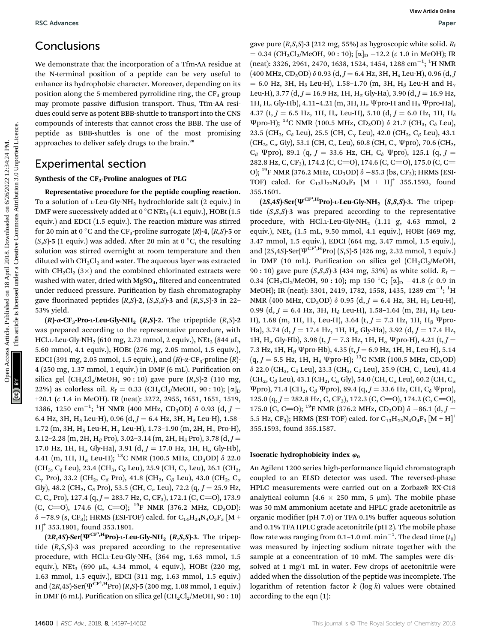### Conclusions

We demonstrate that the incorporation of a Tfm-AA residue at the N-terminal position of a peptide can be very useful to enhance its hydrophobic character. Moreover, depending on its position along the 5-membered pyrrolidine ring, the  $CF<sub>3</sub>$  group may promote passive diffusion transport. Thus, Tfm-AA residues could serve as potent BBB-shuttle to transport into the CNS compounds of interests that cannot cross the BBB. The use of peptide as BBB-shuttles is one of the most promising approaches to deliver safely drugs to the brain.<sup>20</sup>

### Experimental section

#### Synthesis of the  $CF_3$ -Proline analogues of PLG

Representative procedure for the peptide coupling reaction. To a solution of  $L$ -Leu-Gly-NH<sub>2</sub> hydrochloride salt (2 equiv.) in DMF were successively added at 0  $\rm{^{\circ}C}$  NEt<sub>3</sub> (4.1 equiv.), HOBt (1.5 equiv.) and EDCI (1.5 equiv.). The reaction mixture was stirred for 20 min at 0 °C and the CF<sub>3</sub>-proline surrogate  $(R)$ -4,  $(R,S)$ -5 or  $(S, S)$ -5 (1 equiv.) was added. After 20 min at 0 °C, the resulting solution was stirred overnight at room temperature and then diluted with  $CH_2Cl_2$  and water. The aqueous layer was extracted with  $CH_2Cl_2$  (3×) and the combined chlorinated extracts were washed with water, dried with MgSO<sub>4</sub>, filtered and concentrated under reduced pressure. Purification by flash chromatography gave fluorinated peptides  $(R, S)$ -2,  $(S, S, S)$ -3 and  $(R, S, S)$ -3 in 22– 53% yield.

 $(R)$ - $\alpha$ -CF<sub>3</sub>-Pro-L-Leu-Gly-NH<sub>2</sub>  $(R,S)$ -2. The tripeptide  $(R,S)$ -2 was prepared according to the representative procedure, with HCl.L-Leu-Gly-NH<sub>2</sub> (610 mg, 2.73 mmol, 2 equiv.), NEt<sub>3</sub> (844 µL, 5.60 mmol, 4.1 equiv.), HOBt (276 mg, 2.05 mmol, 1.5 equiv.), EDCI (391 mg, 2.05 mmol, 1.5 equiv.), and  $(R)$ - $\alpha$ -CF<sub>3</sub>-proline  $(R)$ -4 (250 mg, 1.37 mmol, 1 equiv.) in DMF (6 mL). Purication on silica gel (CH<sub>2</sub>Cl<sub>2</sub>/MeOH, 90 : 10) gave pure  $(R, S)$ -2 (110 mg, 22%) as colorless oil.  $R_f = 0.33$  (CH<sub>2</sub>Cl<sub>2</sub>/MeOH, 90 : 10);  $[\alpha]_D$ +20.1 (c 1.4 in MeOH). IR (neat): 3272, 2955, 1651, 1651, 1519, 1386, 1250 cm<sup>-1</sup>; <sup>1</sup>H NMR (400 MHz, CD<sub>3</sub>OD)  $\delta$  0.93 (d, J = 6.4 Hz, 3H, H<sub> $\delta$ </sub> Leu-H), 0.96 (d,  $J = 6.4$  Hz, 3H, H $_{\delta}$  Leu-H), 1.58– 1.72 (m, 3H, H<sub>β</sub> Leu-H, H<sub>γ</sub> Leu-H), 1.73–1.90 (m, 2H, H<sub>γ</sub> Pro-H), 2.12–2.28 (m, 2H, H<sub>β</sub> Pro), 3.02–3.14 (m, 2H, H<sub>δ</sub> Pro), 3.78 (d, J = 17.0 Hz, 1H,  $H_{\alpha}$  Gly-Ha), 3.91 (d,  $J = 17.0$  Hz, 1H,  $H_{\alpha}$  Gly-Hb), 4.41 (m, 1H, H<sub>α</sub> Leu-H); <sup>13</sup>C NMR (100.5 MHz, CD<sub>3</sub>OD)  $\delta$  22.0  $(CH_3, C_0$  Leu), 23.4 (CH<sub>3</sub>, C<sub> $\delta$ </sub> Leu), 25.9 (CH, C<sub> $\gamma$ </sub> Leu), 26.1 (CH<sub>2</sub>,  $C_{\gamma}$  Pro), 33.2 (CH<sub>2</sub>, C<sub>β</sub> Pro), 41.8 (CH<sub>2</sub>, C<sub>β</sub> Leu), 43.0 (CH<sub>2</sub>, C<sub>α</sub> Gly), 48.2 (CH<sub>2</sub>, C<sub>δ</sub> Pro), 53.5 (CH, C<sub>α</sub> Leu), 72.2 (q, J = 25.9 Hz, C, C<sub> $\alpha$ </sub> Pro), 127.4 (q, J = 283.7 Hz, C, CF<sub>3</sub>), 172.1 (C, C=O), 173.9 (C, C=O), 174.6 (C, C=O); <sup>19</sup>F NMR (376.2 MHz, CD<sub>3</sub>OD):  $\delta$  –78.9 (s, CF<sub>3</sub>); HRMS (ESI-TOF) calcd. for C<sub>14</sub>H<sub>24</sub>N<sub>4</sub>O<sub>3</sub>F<sub>3</sub> [M + H]<sup>+</sup> 353.1801, found 353.1801.

 $(2R,4S)$ -Ser( $\Psi$ <sup>CF3,H</sup>Pro)-L-Leu-Gly-NH<sub>2</sub> (R,S,S)-3. The tripeptide  $(R, S, S)$ -3 was prepared according to the representative procedure, with HCl.<sub>L</sub>-Leu-Gly-NH<sub>2</sub> (364 mg, 1.63 mmol, 1.5 equiv.), NEt<sub>3</sub> (690 µL, 4.34 mmol, 4 equiv.), HOBt (220 mg, 1.63 mmol, 1.5 equiv.), EDCI (311 mg, 1.63 mmol, 1.5 equiv.) and  $(2R,4S)$ -Ser $(\Psi^{\text{CF}^3,H}\text{Pro})$   $(R,S)$ -5 (200 mg, 1.08 mmol, 1 equiv.) in DMF (6 mL). Purification on silica gel (CH<sub>2</sub>Cl<sub>2</sub>/MeOH, 90 : 10)

gave pure  $(R, S, S)$ -3 (212 mg, 55%) as hygroscopic white solid.  $R_f$  $= 0.34$  (CH<sub>2</sub>Cl<sub>2</sub>/MeOH, 90 : 10); [ $\alpha$ ]<sub>D</sub> -12.2 (*c* 1.0 in MeOH); IR  $(\text{neat})$ : 3326, 2961, 2470, 1638, 1524, 1454, 1288 cm<sup>-1</sup>; <sup>1</sup>H NMR  $(400 \text{ MHz}, \text{CD}_3 \text{OD}) \delta 0.93 (\text{d}, J = 6.4 \text{ Hz}, 3H, H_{\delta} \text{ Leu-H}), 0.96 (\text{d}, J$  $= 6.0$  Hz, 3H, H<sub>δ</sub> Leu-H), 1.58–1.70 (m, 3H, H<sub>β</sub> Leu-H and H<sub>γ</sub> Leu-H), 3.77 (d,  $J = 16.9$  Hz, 1H,  $H_{\alpha}$  Gly-Ha), 3.90 (d,  $J = 16.9$  Hz, 1H,  $H_{\alpha}$  Gly-Hb), 4.11-4.21 (m, 3H,  $H_{\alpha}$   $\Psi$ pro-H and  $H_{\beta}$   $\Psi$ pro-Ha), 4.37 (t,  $J = 6.5$  Hz, 1H,  $H_{\alpha}$  Leu-H), 5.10 (d,  $J = 6.0$  Hz, 1H,  $H_{\delta}$  $\Psi$ pro-H); <sup>13</sup>C NMR (100.5 MHz, CD<sub>3</sub>OD)  $\delta$  21.7 (CH<sub>3</sub>, C<sub> $\delta$ </sub> Leu), 23.5 (CH<sub>3</sub>, C<sub> $\delta$ </sub> Leu), 25.5 (CH, C<sub> $\gamma$ </sub> Leu), 42.0 (CH<sub>2</sub>, C<sub> $\beta$ </sub> Leu), 43.1  $(CH_2, C_{\alpha}$  Gly), 53.1 (CH,  $C_{\alpha}$  Leu), 60.8 (CH,  $C_{\alpha}$   $\Psi$ pro), 70.6 (CH<sub>2</sub>,  $C_{\beta}$  Ψpro), 89.1 (q, J = 33.6 Hz, CH,  $C_{\delta}$  Ψpro), 125.1 (q, J = 282.8 Hz, C, CF<sub>3</sub>), 174.2 (C, C=O), 174.6 (C, C=O), 175.0 (C, C= O); <sup>19</sup>F NMR (376.2 MHz, CD<sub>3</sub>OD)  $\delta$  –85.3 (bs, CF<sub>3</sub>); HRMS (ESI-TOF) calcd. for  $C_{13}H_{22}N_4O_4F_3$  [M + H]<sup>+</sup> 355.1593, found 355.1601.

 $(2S, 4S)$ -Ser( $\Psi$ <sup>CF<sup>3</sup>,H</sub>Pro)-L-Leu-Gly-NH<sub>2</sub> (S,S,S)-3. The tripep-</sup> tide (S,S,S)-3 was prepared according to the representative procedure, with HCl.L-Leu-Gly-NH2 (1.11 g, 4.63 mmol, 2 equiv.), NEt<sub>3</sub> (1.5 mL, 9.50 mmol, 4.1 equiv.), HOBt (469 mg, 3.47 mmol, 1.5 equiv.), EDCI (664 mg, 3.47 mmol, 1.5 equiv.), and  $(2S, 4S)$ -Ser $(\Psi^{\text{CF}^3,H}\text{Pro})$   $(S, S)$ -5 (426 mg, 2.32 mmol, 1 equiv.) in DMF (10 mL). Purification on silica gel  $(CH_2Cl_2/MeOH,$ 90 : 10) gave pure  $(S, S, S)$ -3 (434 mg, 53%) as white solid.  $R_f =$ 0.34 (CH<sub>2</sub>Cl<sub>2</sub>/MeOH, 90 : 10); mp 150 °C; [ $\alpha$ ]<sub>D</sub> -41.8 (c 0.9 in MeOH); IR (neat): 3301, 2419, 1782, 1558, 1435, 1289 cm $^{-1}$ ;  $^1\mathrm{H}$ NMR (400 MHz, CD<sub>3</sub>OD)  $\delta$  0.95 (d,  $J = 6.4$  Hz, 3H, H<sub> $\delta$ </sub> Leu-H), 0.99 (d,  $J = 6.4$  Hz, 3H, H<sub>a</sub> Leu-H), 1.58–1.64 (m, 2H, H<sub>B</sub> Leu-H), 1.68 (m, 1H, H<sub> $\gamma$ </sub> Leu-H), 3.64 (t, J = 7.3 Hz, 1H, H<sub>B</sub>  $\Psi$ pro-Ha), 3.74 (d,  $J = 17.4$  Hz, 1H, H<sub>a</sub> Gly-Ha), 3.92 (d,  $J = 17.4$  Hz, 1H, H<sub>α</sub> Gly-Hb), 3.98 (t, J = 7.3 Hz, 1H, H<sub>α</sub> Ψpro-H), 4.21 (t, J = 7.3 Hz, 1H,  $H_B$   $\Psi$ pro-Hb), 4.35 (t, J = 6.9 Hz, 1H,  $H_\alpha$  Leu-H), 5.14  $(q, J = 5.5 \text{ Hz}, 1H, H_{\delta} \Psi \text{pro-H});$  <sup>13</sup>C NMR (100.5 MHz, CD<sub>3</sub>OD)  $\delta$  22.0 (CH<sub>3</sub>, C<sub> $\delta$ </sub> Leu), 23.3 (CH<sub>3</sub>, C<sub> $\delta$ </sub> Leu), 25.9 (CH, C<sub> $\gamma$ </sub> Leu), 41.4  $(CH_2, C_\beta$  Leu), 43.1 (CH<sub>2</sub>, C<sub>α</sub> Gly), 54.0 (CH, C<sub>α</sub> Leu), 60.2 (CH, C<sub>α</sub>  $\Psi$ pro), 71.4 (CH<sub>2</sub>, C<sub>β</sub>  $\Psi$ pro), 89.4 (q, J = 33.6 Hz, CH, C<sub>δ</sub>  $\Psi$ pro), 125.0 (q,  $J = 282.8$  Hz, C, CF<sub>3</sub>), 172.3 (C, C=O), 174.2 (C, C=O), 175.0 (C, C=O); <sup>19</sup>F NMR (376.2 MHz, CD<sub>3</sub>OD)  $\delta$  -86.1 (d, J = 5.5 Hz, CF<sub>3</sub>); HRMS (ESI-TOF) calcd. for  $C_{13}H_{22}N_4O_4F_3$  [M + H]<sup>+</sup> 355.1593, found 355.1587. BSC Advances Articles. Specifies Articles. Articles Articles. The published on 18 April 2018. Download the material and the intervention of a Tim-AA residue in (i.e)  $\frac{1}{2}$  are the stemminal position data intervention

#### Isocratic hydrophobicity index  $\varphi_0$

An Agilent 1200 series high-performance liquid chromatograph coupled to an ELSD detector was used. The reversed-phase HPLC measurements were carried out on a Zorbax® RX-C18 analytical column (4.6  $\times$  250 mm, 5 µm). The mobile phase was 50 mM ammonium acetate and HPLC grade acetonitrile as organic modifier (pH 7.0) or TFA 0.1% buffer aqueous solution and 0.1% TFA HPLC grade acetonitrile (pH 2). The mobile phase flow rate was ranging from 0.1–1.0 mL  $\mathrm{min}^{-1}.$  The dead time  $(t_0)$ was measured by injecting sodium nitrate together with the sample at a concentration of 10 mM. The samples were dissolved at 1 mg/1 mL in water. Few drops of acetonitrile were added when the dissolution of the peptide was incomplete. The logarithm of retention factor  $k \left( \log k \right)$  values were obtained according to the eqn (1):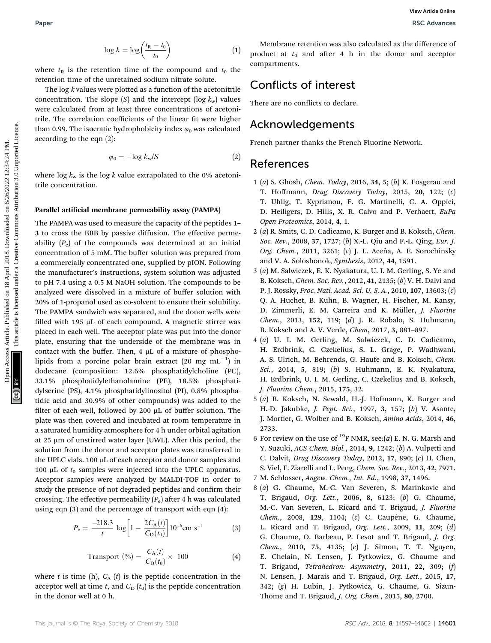$$
\log k = \log \left( \frac{t_{\mathsf{R}} - t_0}{t_0} \right) \tag{1}
$$

where  $t<sub>R</sub>$  is the retention time of the compound and  $t<sub>0</sub>$  the retention time of the unretained sodium nitrate solute.

The log k values were plotted as a function of the acetonitrile concentration. The slope  $(S)$  and the intercept  $(\log k_{\rm w})$  values were calculated from at least three concentrations of acetonitrile. The correlation coefficients of the linear fit were higher than 0.99. The isocratic hydrophobicity index  $\varphi_0$  was calculated according to the eqn (2):

$$
\varphi_0 = -\log k_{\rm w}/S \tag{2}
$$

where  $\log k_{\rm w}$  is the  $\log k$  value extrapolated to the 0% acetonitrile concentration.

#### Parallel artificial membrane permeability assay (PAMPA)

The PAMPA was used to measure the capacity of the peptides 1– 3 to cross the BBB by passive diffusion. The effective permeability  $(P_e)$  of the compounds was determined at an initial concentration of 5 mM. The buffer solution was prepared from a commercially concentrated one, supplied by pION. Following the manufacturer's instructions, system solution was adjusted to pH 7.4 using a 0.5 M NaOH solution. The compounds to be analyzed were dissolved in a mixture of buffer solution with 20% of 1-propanol used as co-solvent to ensure their solubility. The PAMPA sandwich was separated, and the donor wells were filled with 195  $\mu$ L of each compound. A magnetic stirrer was placed in each well. The acceptor plate was put into the donor plate, ensuring that the underside of the membrane was in contact with the buffer. Then,  $4 \mu L$  of a mixture of phospholipids from a porcine polar brain extract  $(20 \text{ mg } \text{mL}^{-1})$  in dodecane (composition: 12.6% phosphatidylcholine (PC), 33.1% phosphatidylethanolamine (PE), 18.5% phosphatidylserine (PS), 4.1% phosphatidylinositol (PI), 0.8% phosphatidic acid and 30.9% of other compounds) was added to the filter of each well, followed by 200  $\mu$ L of buffer solution. The plate was then covered and incubated at room temperature in a saturated humidity atmosphere for 4 h under orbital agitation at 25  $\mu$ m of unstirred water layer (UWL). After this period, the solution from the donor and acceptor plates was transferred to the UPLC vials. 100  $\mu$ L of each acceptor and donor samples and 100  $\mu$ L of  $t_0$  samples were injected into the UPLC apparatus. Acceptor samples were analyzed by MALDI-TOF in order to study the presence of not degraded peptides and confirm their crossing. The effective permeability  $(P_e)$  after 4 h was calculated using eqn (3) and the percentage of transport with eqn (4): Paper<br>
Yearneth on the stress of the compound and  $x_0$  the compound and  $x_0$  and article is licensed as dedifference of<br>
tectricities are recorded on the density are compound and  $x_0$  the compounded on the stress<br>
tect

$$
P_{\rm e} = \frac{-218.3}{t} \log \left[ 1 - \frac{2C_{\rm A}(t)}{C_{\rm D}(t_0)} \right] 10^{-6} \text{cm s}^{-1} \tag{3}
$$

Transport (
$$
\degree
$$
) =  $\frac{C_{\text{A}}(t)}{C_{\text{D}}(t_0)} \times 100$  (4)

where t is time (h),  $C_A(t)$  is the peptide concentration in the acceptor well at time t, and  $C_D(t_0)$  is the peptide concentration in the donor well at 0 h.

Membrane retention was also calculated as the difference of product at  $t_0$  and after 4 h in the donor and acceptor compartments.

### Conflicts of interest

There are no conflicts to declare.

### Acknowledgements

French partner thanks the French Fluorine Network.

### References

- 1 (a) S. Ghosh, Chem. Today, 2016, 34, 5; (b) K. Fosgerau and
- T. Hoffmann, Drug Discovery Today, 2015, 20, 122; (c) T. Uhlig, T. Kyprianou, F. G. Martinelli, C. A. Oppici, D. Heiligers, D. Hills, X. R. Calvo and P. Verhaert, EuPa Open Proteomics, 2014, 4, 1.
- 2 (a) R. Smits, C. D. Cadicamo, K. Burger and B. Koksch, Chem. Soc. Rev., 2008, 37, 1727; (b) X.-L. Qiu and F.-L. Qing, Eur. J. Org. Chem., 2011, 3261; (c) J. L. Aceña, A. E. Sorochinsky and V. A. Soloshonok, Synthesis, 2012, 44, 1591.
- 3 (a) M. Salwiczek, E. K. Nyakatura, U. I. M. Gerling, S. Ye and B. Koksch, Chem. Soc. Rev., 2012, 41, 2135; (b) V. H. Dalvi and P. J. Rossky, Proc. Natl. Acad. Sci. U. S. A., 2010, 107, 13603; (c) Q. A. Huchet, B. Kuhn, B. Wagner, H. Fischer, M. Kansy, D. Zimmerli, E. M. Carreira and K. Müller, J. Fluorine Chem., 2013, 152, 119; (d) J. R. Robalo, S. Huhmann, B. Koksch and A. V. Verde, Chem, 2017, 3, 881–897.
- 4 (a) U. I. M. Gerling, M. Salwiczek, C. D. Cadicamo, H. Erdbrink, C. Czekelius, S. L. Grage, P. Wadhwani, A. S. Ulrich, M. Behrends, G. Haufe and B. Koksch, Chem. Sci., 2014, 5, 819; (b) S. Huhmann, E. K. Nyakatura, H. Erdbrink, U. I. M. Gerling, C. Czekelius and B. Koksch, J. Fluorine Chem., 2015, 175, 32.
- 5 (a) B. Koksch, N. Sewald, H.-J. Hofmann, K. Burger and H.-D. Jakubke, J. Pept. Sci., 1997, 3, 157; (b) V. Asante, J. Mortier, G. Wolber and B. Koksch, Amino Acids, 2014, 46, 2733.
- 6 For review on the use of <sup>19</sup>F NMR, see:(*a*) E. N. G. Marsh and Y. Suzuki, ACS Chem. Biol., 2014, 9, 1242; (b) A. Vulpetti and C. Dalvit, Drug Discovery Today, 2012, 17, 890; (c) H. Chen, S. Viel, F. Ziarelli and L. Peng, Chem. Soc. Rev., 2013, 42, 7971.
- 7 M. Schlosser, Angew. Chem., Int. Ed., 1998, 37, 1496.
- 8 (a) G. Chaume, M.-C. Van Severen, S. Marinkovic and T. Brigaud, Org. Lett., 2006, 8, 6123; (b) G. Chaume, M.-C. Van Severen, L. Ricard and T. Brigaud, J. Fluorine  $Chem.$ , 2008, 129, 1104;  $(c)$  C. Caupène, G. Chaume, L. Ricard and T. Brigaud, Org. Lett., 2009, 11, 209; (d) G. Chaume, O. Barbeau, P. Lesot and T. Brigaud, J. Org. Chem., 2010, 75, 4135; (e) J. Simon, T. T. Nguyen, E. Chelain, N. Lensen, J. Pytkowicz, G. Chaume and T. Brigaud, Tetrahedron: Asymmetry, 2011, 22, 309; (f) N. Lensen, J. Marais and T. Brigaud, Org. Lett., 2015, 17, 342; (g) H. Lubin, J. Pytkowicz, G. Chaume, G. Sizun-Thome and T. Brigaud, J. Org. Chem., 2015, 80, 2700.